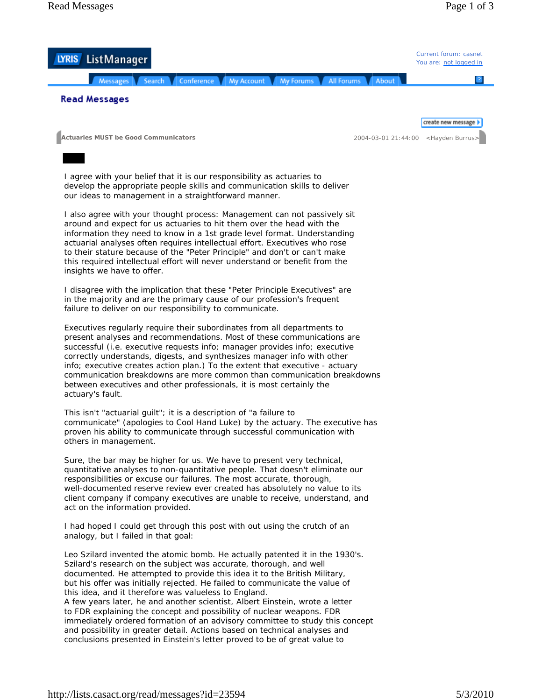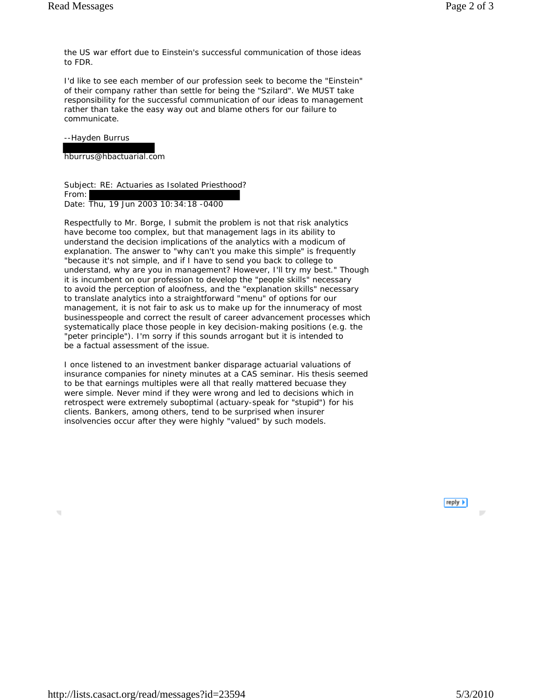the US war effort due to Einstein's successful communication of those ideas to FDR.

I'd like to see each member of our profession seek to become the "Einstein" of their company rather than settle for being the "Szilard". We MUST take responsibility for the successful communication of our ideas to management rather than take the easy way out and blame others for our failure to communicate.

## --Hayden Burrus

hburrus@hbactuarial.com

Subject: RE: Actuaries as Isolated Priesthood? From: Date: Thu, 19 Jun 2003 10:34:18 -0400

Respectfully to Mr. Borge, I submit the problem is not that risk analytics have become too complex, but that management lags in its ability to understand the decision implications of the analytics with a modicum of explanation. The answer to "why can't you make this simple" is frequently "because it's not simple, and if I have to send you back to college to understand, why are you in management? However, I'll try my best." Though it is incumbent on our profession to develop the "people skills" necessary to avoid the perception of aloofness, and the "explanation skills" necessary to translate analytics into a straightforward "menu" of options for our management, it is not fair to ask us to make up for the innumeracy of most businesspeople and correct the result of career advancement processes which systematically place those people in key decision-making positions (e.g. the "peter principle"). I'm sorry if this sounds arrogant but it is intended to be a factual assessment of the issue.

I once listened to an investment banker disparage actuarial valuations of insurance companies for ninety minutes at a CAS seminar. His thesis seemed to be that earnings multiples were all that really mattered becuase they were simple. Never mind if they were wrong and led to decisions which in retrospect were extremely suboptimal (actuary-speak for "stupid") for his clients. Bankers, among others, tend to be surprised when insurer insolvencies occur after they were highly "valued" by such models.



D